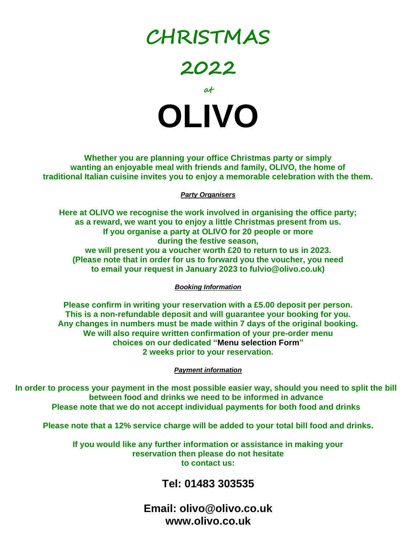# **CHRISTMAS**

**2022**



**Whether you are planning your office Christmas party or simply wanting an enjoyable meal with friends and family, OLIVO, the home of traditional Italian cuisine invites you to enjoy a memorable celebration with the them.**

#### *Party Organisers*

**Here at OLIVO we recognise the work involved in organising the office party; as a reward, we want you to enjoy a little Christmas present from us. If you organise a party at OLIVO for 20 people or more during the festive season, we will present you a voucher worth £20 to return to us in 2023. (Please note that in order for us to forward you the voucher, you need to email your request in January 2023 to fulvio@olivo.co.uk)**

*Booking Information*

**Please confirm in writing your reservation with a £5.00 deposit per person. This is a non-refundable deposit and will guarantee your booking for you. Any changes in numbers must be made within 7 days of the original booking. We will also require written confirmation of your pre-order menu choices on our dedicated "Menu selection Form" 2 weeks prior to your reservation.**

*Payment information*

**In order to process your payment in the most possible easier way, should you need to split the bill between food and drinks we need to be informed in advance Please note that we do not accept individual payments for both food and drinks**

**Please note that a 12% service charge will be added to your total bill food and drinks.**

**If you would like any further information or assistance in making your reservation then please do not hesitate to contact us:** 

### **Tel: 01483 303535**

**Email: olivo@olivo.co.uk www.olivo.co.uk**